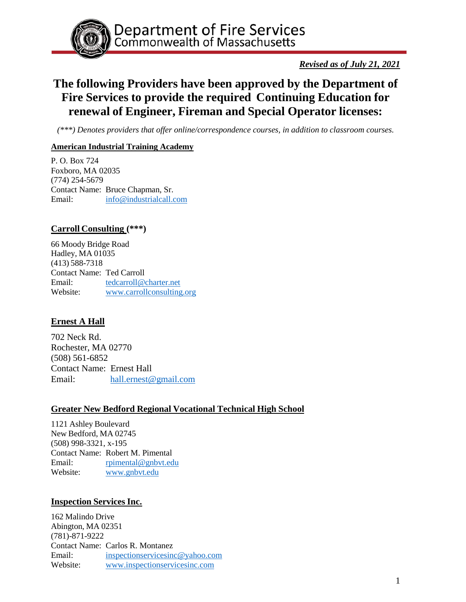

*Revised as of July 21, 2021*

# **The following Providers have been approved by the Department of Fire Services to provide the required Continuing Education for renewal of Engineer, Fireman and Special Operator licenses:**

*(\*\*\*) Denotes providers that offer online/correspondence courses, in addition to classroom courses.*

## **American Industrial Training Academy**

P. O. Box 724 Foxboro, MA 02035 (774) 254-5679 Contact Name: Bruce Chapman, Sr. Email: [info@industrialcall.com](mailto:info@industrialcall.com)

# **Carroll Consulting (\*\*\*)**

66 Moody Bridge Road Hadley, MA 01035 (413) 588-7318 Contact Name: Ted Carroll Email: [tedcarroll@charter.net](mailto:tedcarroll@charter.net) Website: [www.carrollconsulting.org](http://www.carrollconsulting.org/)

# **Ernest A Hall**

702 Neck Rd. Rochester, MA 02770 (508) 561-6852 Contact Name: Ernest Hall Email: [hall.ernest@gmail.com](mailto:hall.ernest@gmail.com)

## **Greater New Bedford Regional Vocational Technical High School**

1121 Ashley Boulevard New Bedford, MA 02745 (508) 998-3321, x-195 Contact Name: Robert M. Pimental Email: [rpimental@gnbvt.edu](mailto:rpimental@gnbvt.edu) Website: [www.gnbvt.edu](http://www.gnbvt.edu/)

## **Inspection Services Inc.**

162 Malindo Drive Abington, MA 02351 (781)-871-9222 Contact Name: Carlos R. Montanez Email: [inspectionservicesinc@yahoo.com](mailto:inspectionservicesinc@yahoo.com) Website: [www.inspectionservicesinc.com](http://www.inspectionservicesinc.com/)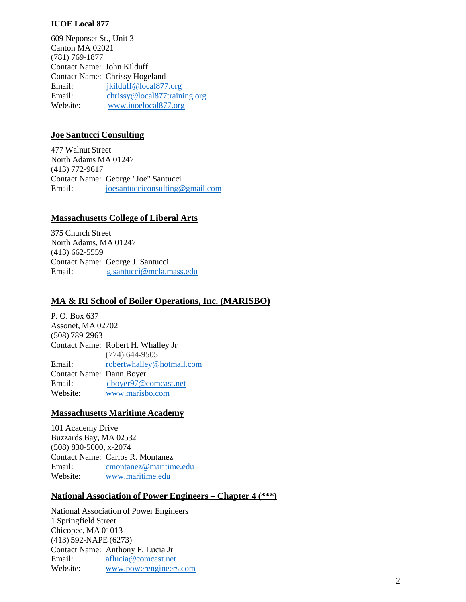#### **IUOE Local 877**

609 Neponset St., Unit 3 Canton MA 02021 (781) 769-1877 Contact Name: John Kilduff Contact Name: Chrissy Hogeland Email: [jkilduff@local877.org](mailto:jkilduff@local877.org) Email: [chrissy@local877training.org](mailto:chrissy@local877training.org) Website: [www.iuoelocal877.org](http://www.iuoelocal877.org/)

#### **Joe Santucci Consulting**

477 Walnut Street North Adams MA 01247 (413) 772-9617 Contact Name: George "Joe" Santucci Email: [joesantucciconsulting@gmail.com](mailto:joesantucciconsulting@gmail.com)

#### **Massachusetts College of Liberal Arts**

375 Church Street North Adams, MA 01247 (413) 662-5559 Contact Name: George J. Santucci Email: [g.santucci@mcla.mass.edu](mailto:g.santucci@mcla.mass.edu)

## **MA & RI School of Boiler Operations, Inc. (MARISBO)**

P. O. Box 637 Assonet, MA 02702 (508) 789-2963 Contact Name: Robert H. Whalley Jr (774) 644-9505 Email: [robertwhalley@hotmail.com](mailto:robertwhalley@hotmail.com) Contact Name: Dann Boyer Email: [dboyer97@comcast.net](mailto:dboyer97@comcast.net) Website: [www.marisbo.com](http://www.marisbo.com/)

#### **Massachusetts Maritime Academy**

101 Academy Drive Buzzards Bay, MA 02532 (508) 830-5000, x-2074 Contact Name: Carlos R. Montanez Email: [cmontanez@maritime.edu](mailto:cmontanez@maritime.edu) Website: [www.maritime.edu](http://www.maritime.edu/)

#### **National Association of Power Engineers – Chapter 4 (\*\*\*)**

National Association of Power Engineers 1 Springfield Street Chicopee, MA 01013 (413) 592-NAPE (6273) Contact Name: Anthony F. Lucia Jr Email: [aflucia@comcast.net](mailto:aflucia@comcast.net) Website: [www.powerengineers.com](http://www.powerengineers.com/)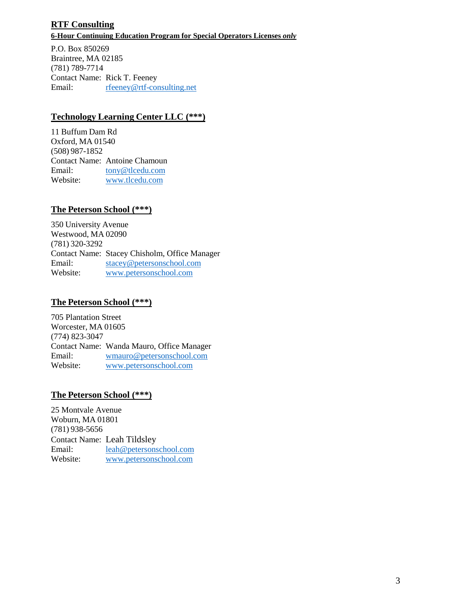# **RTF Consulting 6-Hour Continuing Education Program for Special Operators Licenses** *only*

P.O. Box 850269 Braintree, MA 02185 (781) 789-7714 Contact Name: Rick T. Feeney Email: [rfeeney@rtf-consulting.net](mailto:rfeeney@rtf-consulting.net)

# **Technology Learning Center LLC (\*\*\*)**

11 Buffum Dam Rd Oxford, MA 01540 (508) 987-1852 Contact Name: Antoine Chamoun Email: [tony@tlcedu.com](mailto:tony@tlcedu.com)<br>Website: www.tlcedu.com [www.tlcedu.com](http://www.tlcedu.com/)

# **The Peterson School (\*\*\*)**

350 University Avenue Westwood, MA 02090 (781) 320-3292 Contact Name: Stacey Chisholm, Office Manager Email: [stacey@petersonschool.com](mailto:stacey@petersonschool.com) Website: [www.petersonschool.com](http://www.petersonschool.com/)

## **The Peterson School (\*\*\*)**

705 Plantation Street Worcester, MA 01605 (774) 823-3047 Contact Name: Wanda Mauro, Office Manager Email: [wmauro@petersonschool.com](mailto:wmauro@petersonschool.com) Website: [www.petersonschool.com](http://www.petersonschool.com/)

## **The Peterson School (\*\*\*)**

25 Montvale Avenue Woburn, MA 01801 (781) 938-5656 Contact Name: Leah Tildsley Email: [leah@petersonschool.com](mailto:leah@petersonschool.com) Website: [www.petersonschool.com](http://www.petersonschool.com/)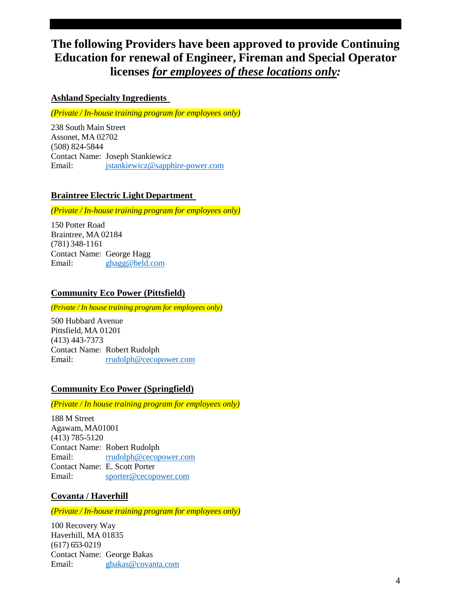# **The following Providers have been approved to provide Continuing Education for renewal of Engineer, Fireman and Special Operator licenses** *for employees of these locations only:*

## **Ashland Specialty Ingredients**

*(Private / In-house training program for employees only)*

238 South Main Street Assonet, MA 02702 (508) 824-5844 Contact Name: Joseph Stankiewicz Email: [jstankiewicz@sapphire-power.com](mailto:jstankiewicz@sapphire-power.com)

### **Braintree Electric Light Department**

*(Private / In-house training program for employees only)*

150 Potter Road Braintree, MA 02184 (781) 348-1161 Contact Name: George Hagg Email: [ghagg@beld.com](mailto:ghagg@beld.com)

## **Community Eco Power (Pittsfield)**

*(Private / In house training program for employees only)*

500 Hubbard Avenue Pittsfield, MA 01201 (413) 443-7373 Contact Name: Robert Rudolph Email: [rrudolph@cecopower.com](mailto:rrudolph@cecopower.com)

### **Community Eco Power (Springfield)**

*(Private / In house training program for employees only)*

188 M Street Agawam, MA01001 (413) 785-5120 Contact Name: Robert Rudolph Email: [rrudolph@cecopower.com](mailto:rrudolph@cecopower.com) Contact Name: E. Scott Porter Email: [sporter@cecopower.com](mailto:sporter@cecopower.com)

## **Covanta / Haverhill**

*(Private / In-house training program for employees only)*

100 Recovery Way Haverhill, MA 01835 (617) 653-0219 Contact Name: George Bakas Email: [gbakas@covanta.com](mailto:gbakas@covanta.com)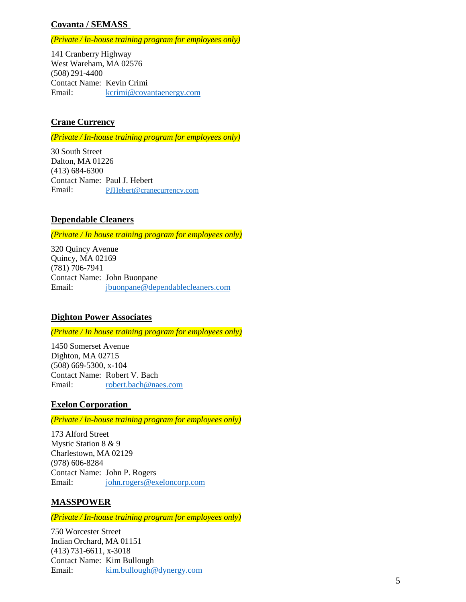# **Covanta / SEMASS**

#### *(Private / In-house training program for employees only)*

141 Cranberry Highway West Wareham, MA 02576 (508) 291-4400 Contact Name: Kevin Crimi Email: [kcrimi@covantaenergy.com](mailto:kcrimi@covantaenergy.com)

## **Crane Currency**

*(Private / In-house training program for employees only)*

30 South Street Dalton, MA 01226 (413) 684-6300 Contact Name: Paul J. Hebert Email: [PJHebert@cranecurrency.com](mailto:PJHebert@cranecurrency.com)

### **Dependable Cleaners**

*(Private / In house training program for employees only)*

320 Quincy Avenue Quincy, MA 02169 (781) 706-7941 Contact Name: John Buonpane Email: [jbuonpane@dependablecleaners.com](mailto:jbuonpane@dependablecleaners.com)

### **Dighton Power Associates**

*(Private / In house training program for employees only)*

1450 Somerset Avenue Dighton, MA 02715 (508) 669-5300, x-104 Contact Name: Robert V. Bach Email: [robert.bach@naes.com](mailto:robert.bach@naes.com)

### **Exelon Corporation**

*(Private / In-house training program for employees only)*

173 Alford Street Mystic Station 8 & 9 Charlestown, MA 02129 (978) 606-8284 Contact Name: John P. Rogers Email: [john.rogers@exeloncorp.com](mailto:john.rogers@exeloncorp.com)

### **MASSPOWER**

*(Private / In-house training program for employees only)*

750 Worcester Street Indian Orchard, MA 01151 (413) 731-6611, x-3018 Contact Name: Kim Bullough Email: [kim.bullough@dynergy.com](mailto:kim.bullough@dynergy.com)